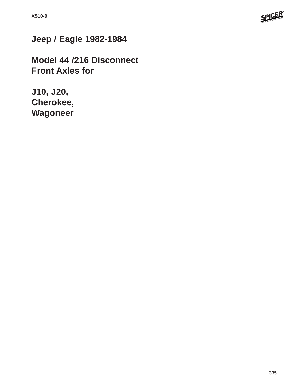

## **Jeep / Eagle 1982-1984**

**Model 44 /216 Disconnect Front Axles for**

**J10, J20, Cherokee, Wagoneer**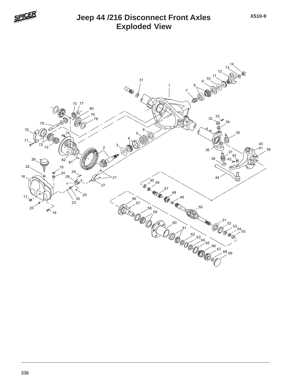

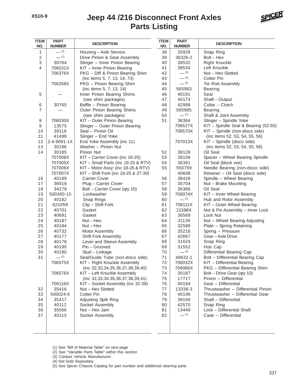## **Parts Listing Jeep 44 /216 Disconnect Front Axles**



| <b>ITEM</b><br>NO. | <b>PART</b><br><b>NUMBER</b> | <b>DESCRIPTION</b>                                  | <b>ITEM</b><br>NO. | <b>PART</b><br><b>NUMBER</b> | <b>DESCRIPTION</b>                                        |  |  |  |
|--------------------|------------------------------|-----------------------------------------------------|--------------------|------------------------------|-----------------------------------------------------------|--|--|--|
| 1                  | $- (3)$                      | Housing - Axle Service                              | 38                 | 35928                        | Snap Ring                                                 |  |  |  |
| 2                  | $-$ (1)                      | Drive Pinion & Gear Assembly                        | 39                 | 36326-2                      | $Bolt - Hex$                                              |  |  |  |
| 3                  | 30764                        | Slinger - Inner Pinion Bearing                      | 40                 | 38532                        | <b>Right Knuckle</b>                                      |  |  |  |
| 4                  | 706031X                      | KIT - Inner Pinion Bearing                          | 41                 | 38534                        | Left Knuckle                                              |  |  |  |
|                    | 706376X                      | PKG - Diff & Pinion Bearing Shim                    | 42                 | $- (3)$                      | Nut - Hex Slotted                                         |  |  |  |
|                    |                              | (inc items 5, 7, 13, 14, 73)                        | 43                 | $- (3)$                      | <b>Cotter Pin</b>                                         |  |  |  |
|                    | 706358X                      | PKG - Pinion Bearing Shim                           | 44                 | $- (5)$                      | Tie Rod Assembly                                          |  |  |  |
|                    |                              | (inc items 5, 7, 13, 14)                            | 45                 | 565983                       | <b>Bearing</b>                                            |  |  |  |
| 5                  |                              | Inner Pinion Bearing Shims                          | 46                 | 40191                        | Seal                                                      |  |  |  |
|                    |                              | (see shim packages)                                 | 47                 | 40173                        | Shaft - Output                                            |  |  |  |
| 6                  | 30765                        | Baffle - Pinion Bearing                             | 48                 | 42998                        | Collar - Clutch                                           |  |  |  |
| $\overline{7}$     |                              | Outer Pinion Bearing Shims                          | 49                 | 565985                       | <b>Bearing</b>                                            |  |  |  |
|                    |                              | (see shim packages)                                 | 50                 | $-$ (1)                      | Shaft & Joint Assembly                                    |  |  |  |
| 8                  | 706030X                      | KIT - Outer Pinion Bearing                          | 51                 | 36364                        | Slinger - Spindle Yoke                                    |  |  |  |
| 9                  | 13575                        | Slinger - Outer Pinion Bearing                      |                    | 706527X                      | KIT - Spindle Seal & Bearing (52-55)                      |  |  |  |
| 10                 | 39118                        | Seal - Pinion Oil                                   |                    | 706570X                      | KIT - Spindle (non-disco side)                            |  |  |  |
| 11                 | 41498                        | Slinger - End Yoke                                  |                    |                              | (inc items 52, 53, 54, 55, 56)                            |  |  |  |
| 12                 | 2-4-8091-1X                  | End Yoke Assembly (inc 11)                          |                    | 707013X                      | KIT - Spindle (disco side)                                |  |  |  |
| 13                 | 30186                        | Washer - Pinion Nut                                 |                    |                              | (inc items 52, 53, 54, 55, 56)                            |  |  |  |
| 14                 | 30185                        | Pinion Nut                                          | 52                 | 38128                        | Oil Seal                                                  |  |  |  |
|                    | 707008X                      | KIT - Carrier Cover (inc 16-25)                     | 53                 | 38106                        | Spacer - Wheel Bearing Spindle                            |  |  |  |
|                    | 707005X                      | KIT - Small Parts (inc 18-25 & RTV)                 | 54                 | 36361                        | Oil Seal (block vee)                                      |  |  |  |
|                    | 707006X                      | KIT - Motor Assy' (inc 18-26 & RTV)                 | 55                 | 550759                       | Needle Bearing (non-disco side)                           |  |  |  |
|                    | 707007X                      | KIT - Shift Fork (inc 18-25 & 27-30)                |                    | 40608                        | Retainer - Oil Seal (disco side)                          |  |  |  |
| 16                 | 40189                        | <b>Carrier Cover</b>                                | 56                 | 38428                        | Spindle - Wheel Bearing                                   |  |  |  |
| 17                 | 36918                        | Plug - Carrier Cover                                | 57                 | 35704                        | Nut - Brake Mounting                                      |  |  |  |
| 18                 | 34279                        | Bolt - Carrier Cover (qty 10)                       | 58                 | 36366                        | Oil Seal                                                  |  |  |  |
| 19                 | 500360-15                    | Lockwasher                                          | 59                 | 706074X                      | KIT - Inner Wheel Bearing                                 |  |  |  |
| 20                 | 40182                        | Snap Rings                                          | 60                 | $- (3)$                      | Hub and Rotor Assembly                                    |  |  |  |
| 21                 | 621059                       | Clip - Shift Fork                                   | 61                 | 706111X                      | KIT - Outer Wheel Bearing                                 |  |  |  |
| 22                 | 40701                        | Gasket                                              | 62                 | 21588X                       | Nut & Pin Assembly - Inner Lock                           |  |  |  |
| 23                 | 40691                        | Gasket<br>$Nut - Hex$                               | 63                 | 36569                        | Lock Nut                                                  |  |  |  |
| 24<br>25           | 40187                        | $Nut - Hex$                                         | 64<br>65           | 31139<br>32589               | Nut - Wheel Bearing Adjusting<br>Plate - Spring Retaining |  |  |  |
| 26                 | 40184<br>40732               |                                                     |                    | 35218                        | Spring - Pressure                                         |  |  |  |
| 27                 | 40177                        | <b>Motor Assembly</b><br><b>Shift Fork Assembly</b> | 66<br>67           | 42667                        | Gear-Axle Drive                                           |  |  |  |
| 28                 | 40178                        | Lever and Sleeve Assembly                           | 68                 | 31624                        | Snap Ring                                                 |  |  |  |
| 29                 | 40190                        | Pin – Grooved                                       | 69                 | 31552                        | Hub Cap                                                   |  |  |  |
| 30                 | 40180                        | Stud - Linkage                                      | 70                 | $- (3)$                      | Differential Bearing Cap                                  |  |  |  |
| 31                 | $-$ (2)                      | Seal/Guide Tube (non-disco side)                    | 71                 | 48632-1                      | Bolt - Differential Bearing Cap                           |  |  |  |
|                    | 706575X                      | KIT - Right Knuckle Assembly                        | 72                 | 706032X                      | KIT - Differential Bearing                                |  |  |  |
|                    |                              | (inc 32,33,34,35,36,37,38,39,40)                    | 73                 | 706086X                      | PKG - Differential Bearing Shim                           |  |  |  |
|                    | 706576X                      | KIT - Left Knuckle Assembly                         | 74                 | 30187                        | Bolt - Drive Gear (qty 10)                                |  |  |  |
|                    |                              | (inc 32,33,34,35,36,37,38,39,41)                    | 75                 | 17717                        | Pinion - Differential                                     |  |  |  |
|                    | 706116X                      | KIT - Socket Assembly (inc 32-38)                   | 76                 | 40194                        | Gear - Differential                                       |  |  |  |
| 32                 | 35416                        | Nut - Hex Slotted                                   | 77                 | 13338-3                      | Thrustwasher - Differential Pinion                        |  |  |  |
| 33                 | 500024-6                     | <b>Cotter Pin</b>                                   | 78                 | 40196                        | Thrustwasher - Differential Gear                          |  |  |  |
| 34                 | 35417                        | Adjusting Split Ring                                | 79                 | 39194                        | Shaft - Differential                                      |  |  |  |
| 35                 | 40112                        | Socket Assembly                                     | 80                 | 42570                        | Snap Ring                                                 |  |  |  |
| 36                 | 35566                        | Nut - Hex Jam                                       | 81                 | 13449                        | Lock - Differential Shaft                                 |  |  |  |
| 37                 | 40113                        | Socket Assembly                                     | 82                 | $- (4)$                      | Case - Differential                                       |  |  |  |
|                    |                              |                                                     |                    |                              |                                                           |  |  |  |
|                    |                              |                                                     |                    |                              |                                                           |  |  |  |
|                    |                              |                                                     |                    |                              |                                                           |  |  |  |

(1) See "Bill of Material Table" on next page

(2) See "Variable Parts Table" within this section

(3) Contact Vehicle Manufacturer

(4) Not Sold Separately

(5) See Spicer Chassis Catalog for part number and additional steering parts